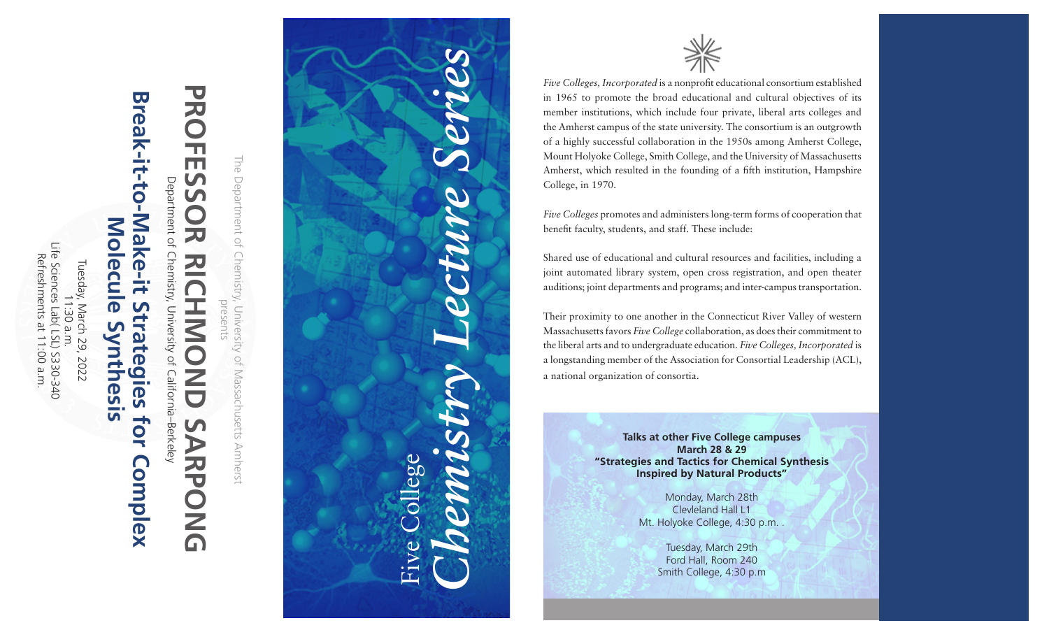Life Sciences Lab( LSL) S330-340<br>Refreshments at 11:00 a.m. Life Sciences Lab( LSL) S330-340 Refreshments at 11:00 a.m. Tuesday, March 29, 2022 Tuesday, March 29, 2022 11:30 a.m.  $\Rightarrow$ :30 a.m.

## **Break-it-to-Make-it Strategies for Complex**  Break-it-to-**Ne** Mol **Molecule Synthesis**  $\overline{\mathsf{d}}$  $\overline{\mathbf{0}}$ n  $\blacksquare$  $\mathbf 0$  $\overline{\phantom{0}}$ O <u>က</u>  $\mathbf \Phi$ ÜÑ <u> ភ</u> for **Complex**

Department of Chemistry, Department of Chemistry, University of California–Berkeley University of California-Berkeley

## マス **PROFESSOR RICHMOND SARPONG** 'n Ш  $\mathbf{v}$  $\mathbf{C}$ 刀 20 U D 刀 **PONG**

The Department of Chemistry, University of Massachusetts Amherst The Department of Chemistry, University of Massachusetts Amherst presents





*Five Colleges, Incorporated* is a nonprofit educational consortium established in 1965 to promote the broad educational and cultural objectives of its member institutions, which include four private, liberal arts colleges and the Amherst campus of the state university. The consortium is an outgrowth of a highly successful collaboration in the 1950s among Amherst College, Mount Holyoke College, Smith College, and the University of Massachusetts Amherst, which resulted in the founding of a fifth institution, Hampshire College, in 1970.

*Five Colleges* promotes and administers long-term forms of cooperation that benefit faculty, students, and staff. These include:

Shared use of educational and cultural resources and facilities, including a joint automated library system, open cross registration, and open theater auditions; joint departments and programs; and inter-campus transportation.

Their proximity to one another in the Connecticut River Valley of western Massachusetts favors *Five College* collaboration, as does their commitment to the liberal arts and to undergraduate education. *Five Colleges, Incorporated* is a longstanding member of the Association for Consortial Leadership (ACL), a national organization of consortia.

> **Talks at other Five College campuses March 28 & 29 "Strategies and Tactics for Chemical Synthesis Inspired by Natural Products"**

> > Monday, March 28th Clevleland Hall L1 Mt. Holyoke College, 4:30 p.m. .

> > > Tuesday, March 29th Ford Hall, Room 240 Smith College, 4:30 p.m